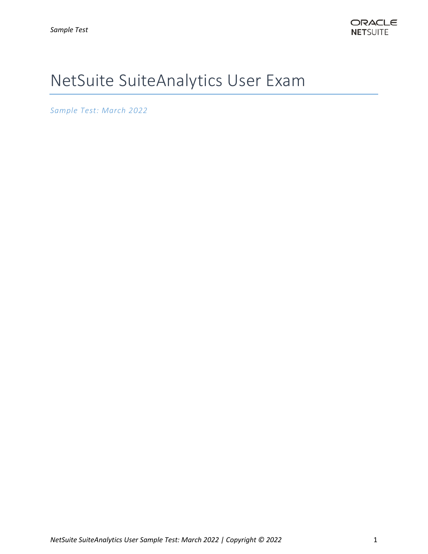# NetSuite SuiteAnalytics User Exam

*Sample Test: March 2022*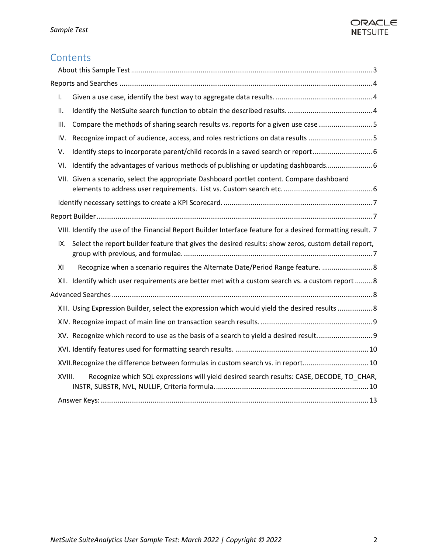

# **Contents**

| I.     |                                                                                                             |  |  |
|--------|-------------------------------------------------------------------------------------------------------------|--|--|
| ΙΙ.    |                                                                                                             |  |  |
| III.   | Compare the methods of sharing search results vs. reports for a given use case5                             |  |  |
| IV.    | Recognize impact of audience, access, and roles restrictions on data results 5                              |  |  |
| V.     | Identify steps to incorporate parent/child records in a saved search or report                              |  |  |
| VI.    | Identify the advantages of various methods of publishing or updating dashboards                             |  |  |
|        | VII. Given a scenario, select the appropriate Dashboard portlet content. Compare dashboard                  |  |  |
|        |                                                                                                             |  |  |
|        |                                                                                                             |  |  |
|        | VIII. Identify the use of the Financial Report Builder Interface feature for a desired formatting result. 7 |  |  |
| IX.    | Select the report builder feature that gives the desired results: show zeros, custom detail report,         |  |  |
| XI     | Recognize when a scenario requires the Alternate Date/Period Range feature.  8                              |  |  |
|        | XII. Identify which user requirements are better met with a custom search vs. a custom report  8            |  |  |
|        |                                                                                                             |  |  |
|        | XIII. Using Expression Builder, select the expression which would yield the desired results  8              |  |  |
|        |                                                                                                             |  |  |
|        |                                                                                                             |  |  |
|        |                                                                                                             |  |  |
|        | XVII. Recognize the difference between formulas in custom search vs. in report10                            |  |  |
| XVIII. | Recognize which SQL expressions will yield desired search results: CASE, DECODE, TO CHAR,                   |  |  |
|        |                                                                                                             |  |  |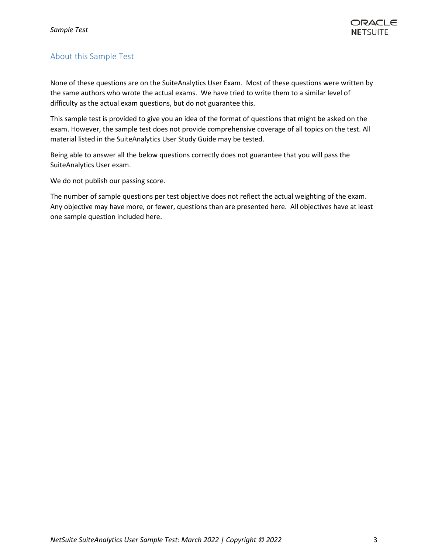## <span id="page-2-0"></span>About this Sample Test

None of these questions are on the SuiteAnalytics User Exam. Most of these questions were written by the same authors who wrote the actual exams. We have tried to write them to a similar level of difficulty as the actual exam questions, but do not guarantee this.

This sample test is provided to give you an idea of the format of questions that might be asked on the exam. However, the sample test does not provide comprehensive coverage of all topics on the test. All material listed in the SuiteAnalytics User Study Guide may be tested.

Being able to answer all the below questions correctly does not guarantee that you will pass the SuiteAnalytics User exam.

We do not publish our passing score.

The number of sample questions per test objective does not reflect the actual weighting of the exam. Any objective may have more, or fewer, questions than are presented here. All objectives have at least one sample question included here.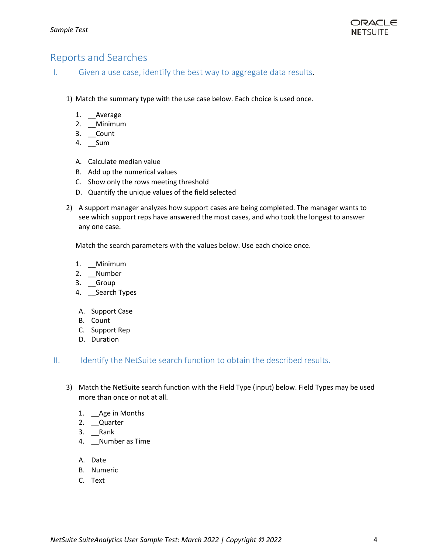## <span id="page-3-0"></span>Reports and Searches

<span id="page-3-1"></span>I. Given a use case, identify the best way to aggregate data results.

1) Match the summary type with the use case below. Each choice is used once.

- 1. \_\_Average
- 2. \_\_Minimum
- 3. \_\_Count
- 4. \_\_Sum
- A. Calculate median value
- B. Add up the numerical values
- C. Show only the rows meeting threshold
- D. Quantify the unique values of the field selected
- 2) A support manager analyzes how support cases are being completed. The manager wants to see which support reps have answered the most cases, and who took the longest to answer any one case.

Match the search parameters with the values below. Use each choice once.

- 1. Minimum
- 2. \_\_Number
- 3. \_\_Group
- 4. Search Types
- A. Support Case
- B. Count
- C. Support Rep
- <span id="page-3-2"></span>D. Duration

II. Identify the NetSuite search function to obtain the described results.

- 3) Match the NetSuite search function with the Field Type (input) below. Field Types may be used more than once or not at all.
	- 1. \_\_Age in Months
	- 2. \_\_Quarter
	- 3. \_\_Rank
	- 4. \_\_Number as Time
	- A. Date
	- B. Numeric
	- C. Text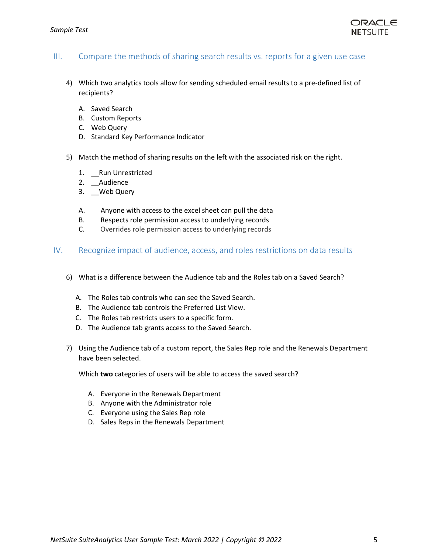

#### <span id="page-4-0"></span>III. Compare the methods of sharing search results vs. reports for a given use case

- 4) Which two analytics tools allow for sending scheduled email results to a pre-defined list of recipients?
	- A. Saved Search
	- B. Custom Reports
	- C. Web Query
	- D. Standard Key Performance Indicator
- 5) Match the method of sharing results on the left with the associated risk on the right.
	- 1. Run Unrestricted
	- 2. Audience
	- 3. \_\_Web Query
	- A. Anyone with access to the excel sheet can pull the data
	- B. Respects role permission access to underlying records
	- C. Overrides role permission access to underlying records
- <span id="page-4-1"></span>IV. Recognize impact of audience, access, and roles restrictions on data results
	- 6) What is a difference between the Audience tab and the Roles tab on a Saved Search?
		- A. The Roles tab controls who can see the Saved Search.
		- B. The Audience tab controls the Preferred List View.
		- C. The Roles tab restricts users to a specific form.
		- D. The Audience tab grants access to the Saved Search.
	- 7) Using the Audience tab of a custom report, the Sales Rep role and the Renewals Department have been selected.

Which **two** categories of users will be able to access the saved search?

- A. Everyone in the Renewals Department
- B. Anyone with the Administrator role
- C. Everyone using the Sales Rep role
- D. Sales Reps in the Renewals Department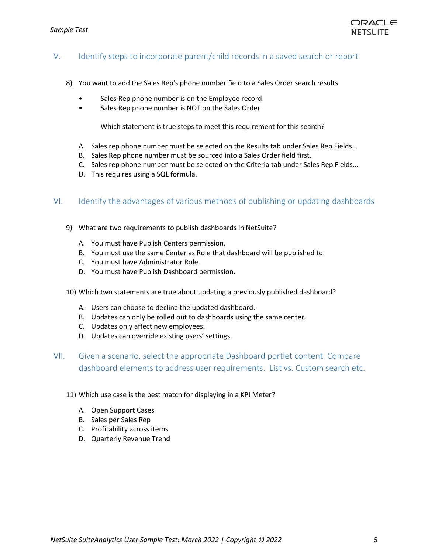

#### <span id="page-5-0"></span>V. Identify steps to incorporate parent/child records in a saved search or report

- 8) You want to add the Sales Rep's phone number field to a Sales Order search results.
	- Sales Rep phone number is on the Employee record
	- Sales Rep phone number is NOT on the Sales Order

Which statement is true steps to meet this requirement for this search?

- A. Sales rep phone number must be selected on the Results tab under Sales Rep Fields...
- B. Sales Rep phone number must be sourced into a Sales Order field first.
- C. Sales rep phone number must be selected on the Criteria tab under Sales Rep Fields...
- D. This requires using a SQL formula.

#### <span id="page-5-1"></span>VI. Identify the advantages of various methods of publishing or updating dashboards

- 9) What are two requirements to publish dashboards in NetSuite?
	- A. You must have Publish Centers permission.
	- B. You must use the same Center as Role that dashboard will be published to.
	- C. You must have Administrator Role.
	- D. You must have Publish Dashboard permission.
- 10) Which two statements are true about updating a previously published dashboard?
	- A. Users can choose to decline the updated dashboard.
	- B. Updates can only be rolled out to dashboards using the same center.
	- C. Updates only affect new employees.
	- D. Updates can override existing users' settings.
- <span id="page-5-2"></span>VII. Given a scenario, select the appropriate Dashboard portlet content. Compare dashboard elements to address user requirements. List vs. Custom search etc.
	- 11) Which use case is the best match for displaying in a KPI Meter?
		- A. Open Support Cases
		- B. Sales per Sales Rep
		- C. Profitability across items
		- D. Quarterly Revenue Trend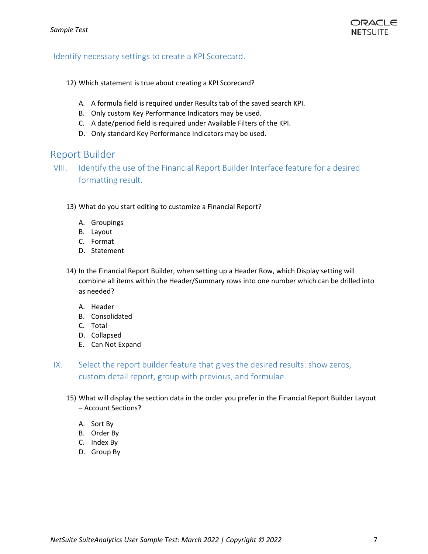

#### <span id="page-6-0"></span>Identify necessary settings to create a KPI Scorecard.

- 12) Which statement is true about creating a KPI Scorecard?
	- A. A formula field is required under Results tab of the saved search KPI.
	- B. Only custom Key Performance Indicators may be used.
	- C. A date/period field is required under Available Filters of the KPI.
	- D. Only standard Key Performance Indicators may be used.

## <span id="page-6-1"></span>Report Builder

- <span id="page-6-2"></span>VIII. Identify the use of the Financial Report Builder Interface feature for a desired formatting result.
	- 13) What do you start editing to customize a Financial Report?
		- A. Groupings
		- B. Layout
		- C. Format
		- D. Statement
	- 14) In the Financial Report Builder, when setting up a Header Row, which Display setting will combine all items within the Header/Summary rows into one number which can be drilled into as needed?
		- A. Header
		- B. Consolidated
		- C. Total
		- D. Collapsed
		- E. Can Not Expand
- <span id="page-6-3"></span>IX. Select the report builder feature that gives the desired results: show zeros, custom detail report, group with previous, and formulae.
	- 15) What will display the section data in the order you prefer in the Financial Report Builder Layout – Account Sections?
		- A. Sort By
		- B. Order By
		- C. Index By
		- D. Group By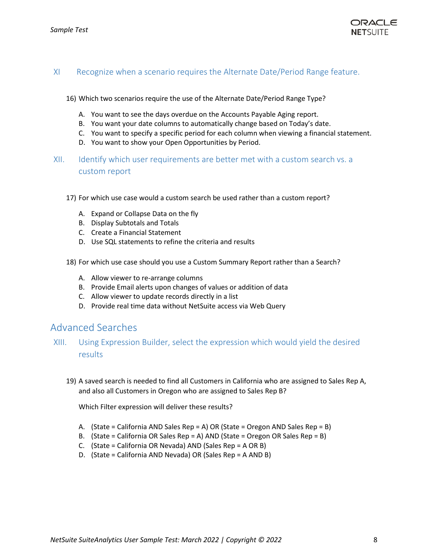

#### <span id="page-7-0"></span>XI Recognize when a scenario requires the Alternate Date/Period Range feature.

- 16) Which two scenarios require the use of the Alternate Date/Period Range Type?
	- A. You want to see the days overdue on the Accounts Payable Aging report.
	- B. You want your date columns to automatically change based on Today's date.
	- C. You want to specify a specific period for each column when viewing a financial statement.
	- D. You want to show your Open Opportunities by Period.
- <span id="page-7-1"></span>XII. Identify which user requirements are better met with a custom search vs. a custom report
	- 17) For which use case would a custom search be used rather than a custom report?
		- A. Expand or Collapse Data on the fly
		- B. Display Subtotals and Totals
		- C. Create a Financial Statement
		- D. Use SQL statements to refine the criteria and results
	- 18) For which use case should you use a Custom Summary Report rather than a Search?
		- A. Allow viewer to re-arrange columns
		- B. Provide Email alerts upon changes of values or addition of data
		- C. Allow viewer to update records directly in a list
		- D. Provide real time data without NetSuite access via Web Query

### <span id="page-7-2"></span>Advanced Searches

- <span id="page-7-3"></span>XIII. Using Expression Builder, select the expression which would yield the desired results
	- 19) A saved search is needed to find all Customers in California who are assigned to Sales Rep A, and also all Customers in Oregon who are assigned to Sales Rep B?

Which Filter expression will deliver these results?

- A. (State = California AND Sales Rep = A) OR (State = Oregon AND Sales Rep = B)
- B. (State = California OR Sales Rep = A) AND (State = Oregon OR Sales Rep = B)
- C. (State = California OR Nevada) AND (Sales Rep = A OR B)
- D. (State = California AND Nevada) OR (Sales Rep = A AND B)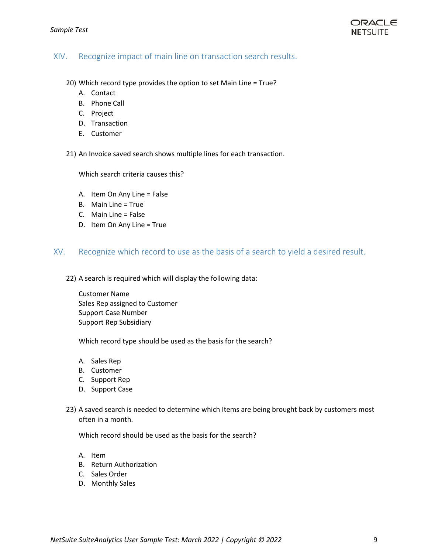#### <span id="page-8-0"></span>XIV. Recognize impact of main line on transaction search results.

- 20) Which record type provides the option to set Main Line = True?
	- A. Contact
	- B. Phone Call
	- C. Project
	- D. Transaction
	- E. Customer

21) An Invoice saved search shows multiple lines for each transaction.

Which search criteria causes this?

- A. Item On Any Line = False
- B. Main Line = True
- C. Main Line = False
- D. Item On Any Line = True

#### <span id="page-8-1"></span>XV. Recognize which record to use as the basis of a search to yield a desired result.

22) A search is required which will display the following data:

Customer Name Sales Rep assigned to Customer Support Case Number Support Rep Subsidiary

Which record type should be used as the basis for the search?

- A. Sales Rep
- B. Customer
- C. Support Rep
- D. Support Case
- 23) A saved search is needed to determine which Items are being brought back by customers most often in a month.

Which record should be used as the basis for the search?

- A. Item
- B. Return Authorization
- C. Sales Order
- D. Monthly Sales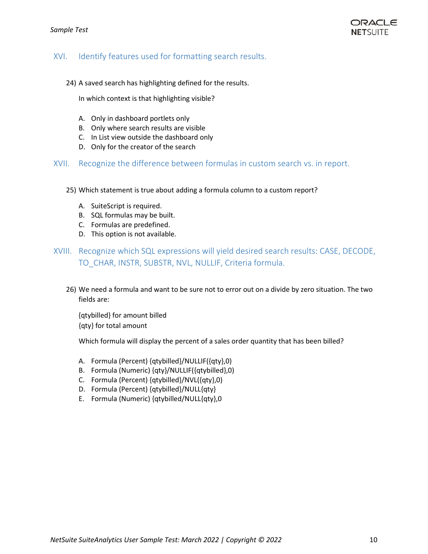## <span id="page-9-0"></span>XVI. Identify features used for formatting search results.

24) A saved search has highlighting defined for the results.

In which context is that highlighting visible?

- A. Only in dashboard portlets only
- B. Only where search results are visible
- C. In List view outside the dashboard only
- D. Only for the creator of the search

<span id="page-9-1"></span>XVII. Recognize the difference between formulas in custom search vs. in report.

- 25) Which statement is true about adding a formula column to a custom report?
	- A. SuiteScript is required.
	- B. SQL formulas may be built.
	- C. Formulas are predefined.
	- D. This option is not available.
- <span id="page-9-2"></span>XVIII. Recognize which SQL expressions will yield desired search results: CASE, DECODE, TO\_CHAR, INSTR, SUBSTR, NVL, NULLIF, Criteria formula.
	- 26) We need a formula and want to be sure not to error out on a divide by zero situation. The two fields are:

{qtybilled} for amount billed {qty} for total amount

Which formula will display the percent of a sales order quantity that has been billed?

- A. Formula (Percent) {qtybilled}/NULLIF({qty},0)
- B. Formula (Numeric) {qty}/NULLIF({qtybilled},0)
- C. Formula (Percent) {qtybilled}/NVL({qty},0)
- D. Formula (Percent) {qtybilled}/NULL{qty}
- E. Formula (Numeric) {qtybilled/NULL{qty},0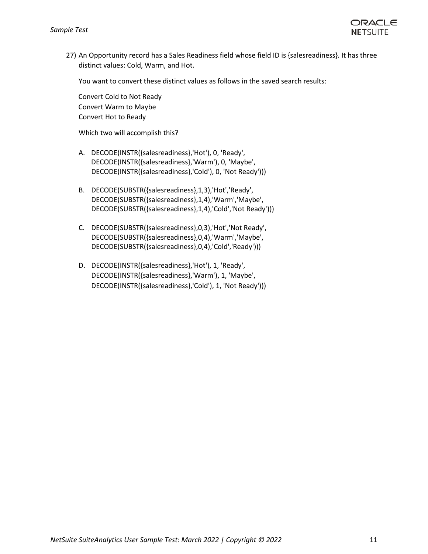

27) An Opportunity record has a Sales Readiness field whose field ID is {salesreadiness}. It has three distinct values: Cold, Warm, and Hot.

You want to convert these distinct values as follows in the saved search results:

Convert Cold to Not Ready Convert Warm to Maybe Convert Hot to Ready

Which two will accomplish this?

- A. DECODE(INSTR({salesreadiness},'Hot'), 0, 'Ready', DECODE(INSTR({salesreadiness},'Warm'), 0, 'Maybe', DECODE(INSTR({salesreadiness},'Cold'), 0, 'Not Ready')))
- B. DECODE(SUBSTR({salesreadiness},1,3),'Hot','Ready', DECODE(SUBSTR({salesreadiness},1,4),'Warm','Maybe', DECODE(SUBSTR({salesreadiness},1,4),'Cold','Not Ready')))
- C. DECODE(SUBSTR({salesreadiness},0,3),'Hot','Not Ready', DECODE(SUBSTR({salesreadiness},0,4),'Warm','Maybe', DECODE(SUBSTR({salesreadiness},0,4),'Cold','Ready')))
- D. DECODE(INSTR({salesreadiness},'Hot'), 1, 'Ready', DECODE(INSTR({salesreadiness},'Warm'), 1, 'Maybe', DECODE(INSTR({salesreadiness},'Cold'), 1, 'Not Ready')))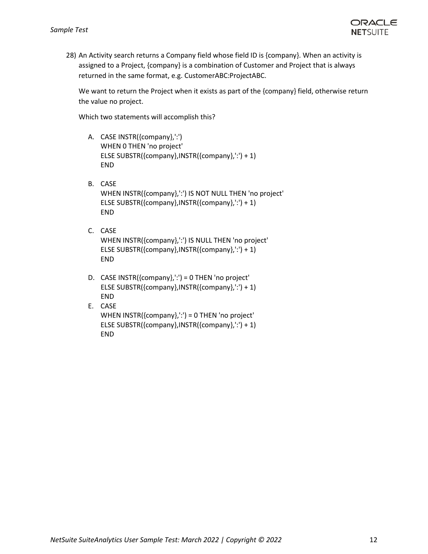

28) An Activity search returns a Company field whose field ID is {company}. When an activity is assigned to a Project, {company} is a combination of Customer and Project that is always returned in the same format, e.g. CustomerABC:ProjectABC.

We want to return the Project when it exists as part of the {company} field, otherwise return the value no project.

Which two statements will accomplish this?

- A. CASE INSTR({company},':') WHEN 0 THEN 'no project' ELSE SUBSTR({company},INSTR({company},':') + 1) END
- B. CASE WHEN INSTR({company},':') IS NOT NULL THEN 'no project' ELSE SUBSTR({company},INSTR({company},':') + 1) END
- C. CASE WHEN INSTR({company},':') IS NULL THEN 'no project' ELSE SUBSTR({company},INSTR({company},':') + 1) END
- D. CASE INSTR({company},':') = 0 THEN 'no project' ELSE SUBSTR({company},INSTR({company},':') + 1) END
- E. CASE WHEN INSTR({company},':') = 0 THEN 'no project' ELSE SUBSTR({company},INSTR({company},':') + 1) END